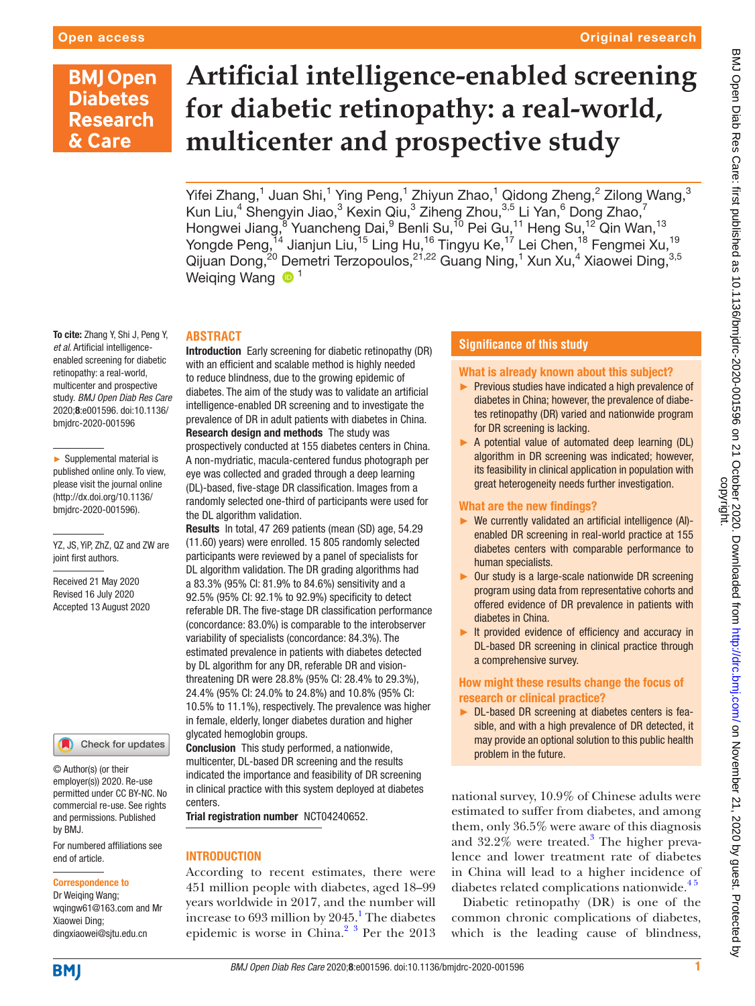#### Original research

## **BMJ Open Diabetes Research** & Care

# **Artificial intelligence-enabled screening for diabetic retinopathy: a real-world, multicenter and prospective study**

Yifei Zhang, $^1$  Juan Shi, $^1$  Ying Peng, $^1$  Zhiyun Zhao, $^1$  Qidong Zheng, $^2$  Zilong Wang, $^3$ Kun Liu,<sup>4</sup> Shengyin Jiao,<sup>3</sup> Kexin Qiu,<sup>3</sup> Ziheng Zhou,<sup>3,5</sup> Li Yan,<sup>6</sup> Dong Zhao,<sup>7</sup> Hongwei Jiang,<sup>8</sup> Yuancheng Dai,<sup>9</sup> Benli Su,<sup>10</sup> Pei Gu,<sup>11</sup> Heng Su,<sup>12</sup> Qin Wan,<sup>13</sup> Yongde Peng,<sup>14</sup> Jianjun Liu,<sup>15</sup> Ling Hu,<sup>16</sup> Tingyu Ke,<sup>17</sup> Lei Chen,<sup>18</sup> Fengmei Xu,<sup>19</sup> Qijuan Dong,<sup>20</sup> Demetri Terzopoulos,<sup>21,22</sup> Guang Ning,<sup>1</sup> Xun Xu,<sup>4</sup> Xiaowei Ding,<sup>3,5</sup> Weiging Wang  $\bullet$ <sup>1</sup>

To cite: Zhang Y, Shi J, Peng Y, *et al*. Artificial intelligenceenabled screening for diabetic retinopathy: a real-world, multicenter and prospective study. *BMJ Open Diab Res Care* 2020;8:e001596. doi:10.1136/ bmjdrc-2020-001596

► Supplemental material is published online only. To view, please visit the journal online (http://dx.doi.org/10.1136/ bmjdrc-2020-001596).

#### YZ, JS, YiP, ZhZ, QZ and ZW are joint first authors.

Received 21 May 2020 Revised 16 July 2020 Accepted 13 August 2020

Check for updates

© Author(s) (or their employer(s)) 2020. Re-use permitted under CC BY-NC. No commercial re-use. See rights and permissions. Published by BMJ.

For numbered affiliations see end of article.

#### Correspondence to

Dr Weiqing Wang; wqingw61@163.com and Mr Xiaowei Ding; dingxiaowei@sjtu.edu.cn

**ABSTRACT** Introduction Early screening for diabetic retinopathy (DR) with an efficient and scalable method is highly needed to reduce blindness, due to the growing epidemic of diabetes. The aim of the study was to validate an artificial intelligence-enabled DR screening and to investigate the prevalence of DR in adult patients with diabetes in China. **Research design and methods** The study was prospectively conducted at 155 diabetes centers in China. A non-mydriatic, macula-centered fundus photograph per eye was collected and graded through a deep learning (DL)-based, five-stage DR classification. Images from a randomly selected one-third of participants were used for the DL algorithm validation.

Results In total, 47 269 patients (mean (SD) age, 54.29 (11.60) years) were enrolled. 15 805 randomly selected participants were reviewed by a panel of specialists for DL algorithm validation. The DR grading algorithms had a 83.3% (95% CI: 81.9% to 84.6%) sensitivity and a 92.5% (95% CI: 92.1% to 92.9%) specificity to detect referable DR. The five-stage DR classification performance (concordance: 83.0%) is comparable to the interobserver variability of specialists (concordance: 84.3%). The estimated prevalence in patients with diabetes detected by DL algorithm for any DR, referable DR and visionthreatening DR were 28.8% (95% CI: 28.4% to 29.3%), 24.4% (95% CI: 24.0% to 24.8%) and 10.8% (95% CI: 10.5% to 11.1%), respectively. The prevalence was higher in female, elderly, longer diabetes duration and higher glycated hemoglobin groups.

Conclusion This study performed, a nationwide, multicenter, DL-based DR screening and the results indicated the importance and feasibility of DR screening in clinical practice with this system deployed at diabetes centers.

Trial registration number <NCT04240652>.

### **INTRODUCTION**

According to recent estimates, there were 451 million people with diabetes, aged 18–99 years worldwide in 2017, and the number will increase to  $693$  million by  $2045.$ <sup>[1](#page-9-0)</sup> The diabetes epidemic is worse in China. $2^3$  $2^3$  $2^3$  Per the 2013

#### **Significance of this study**

#### What is already known about this subject?

- ► Previous studies have indicated a high prevalence of diabetes in China; however, the prevalence of diabetes retinopathy (DR) varied and nationwide program for DR screening is lacking.
- ► A potential value of automated deep learning (DL) algorithm in DR screening was indicated; however, its feasibility in clinical application in population with great heterogeneity needs further investigation.

#### What are the new findings?

- ► We currently validated an artificial intelligence (AI) enabled DR screening in real-world practice at 155 diabetes centers with comparable performance to human specialists.
- ► Our study is a large-scale nationwide DR screening program using data from representative cohorts and offered evidence of DR prevalence in patients with diabetes in China.
- ► It provided evidence of efficiency and accuracy in DL-based DR screening in clinical practice through a comprehensive survey.

#### How might these results change the focus of research or clinical practice?

► DL-based DR screening at diabetes centers is feasible, and with a high prevalence of DR detected, it may provide an optional solution to this public health problem in the future.

national survey, 10.9% of Chinese adults were estimated to suffer from diabetes, and among them, only 36.5% were aware of this diagnosis and  $32.2\%$  $32.2\%$  were treated.<sup>3</sup> The higher prevalence and lower treatment rate of diabetes in China will lead to a higher incidence of diabetes related complications nationwide.<sup>45</sup>

Diabetic retinopathy (DR) is one of the common chronic complications of diabetes, which is the leading cause of blindness,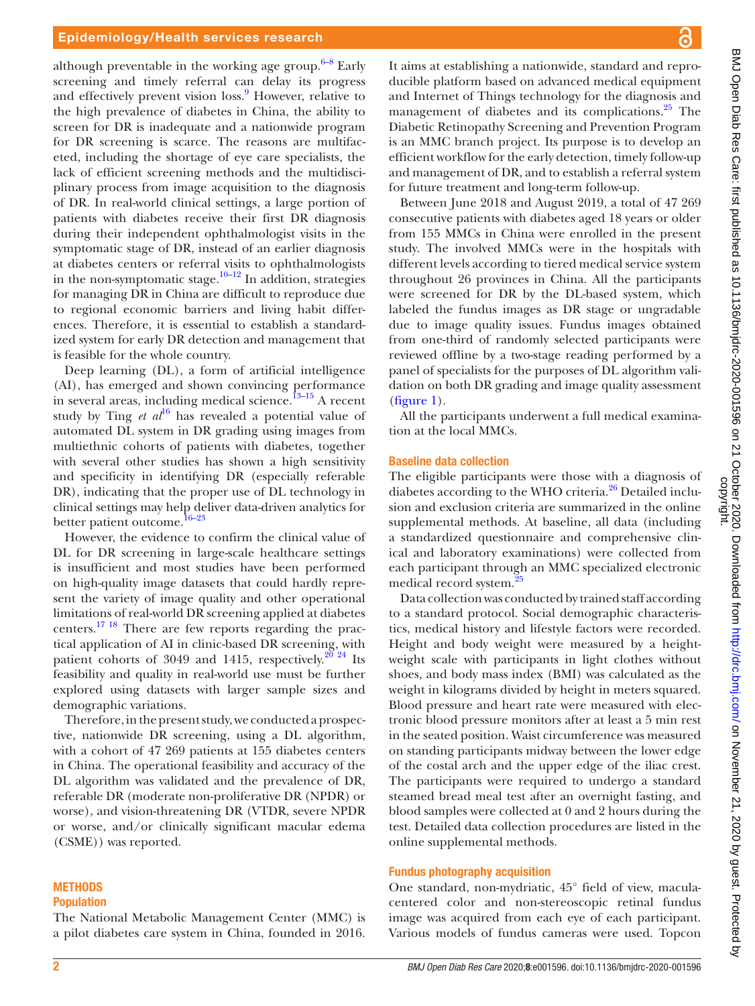although preventable in the working age group. $6-8$  Early screening and timely referral can delay its progress and effectively prevent vision loss.<sup>[9](#page-9-5)</sup> However, relative to the high prevalence of diabetes in China, the ability to screen for DR is inadequate and a nationwide program for DR screening is scarce. The reasons are multifaceted, including the shortage of eye care specialists, the lack of efficient screening methods and the multidisciplinary process from image acquisition to the diagnosis of DR. In real-world clinical settings, a large portion of patients with diabetes receive their first DR diagnosis during their independent ophthalmologist visits in the symptomatic stage of DR, instead of an earlier diagnosis at diabetes centers or referral visits to ophthalmologists in the non-symptomatic stage.<sup>10–12</sup> In addition, strategies for managing DR in China are difficult to reproduce due to regional economic barriers and living habit differences. Therefore, it is essential to establish a standardized system for early DR detection and management that is feasible for the whole country.

Deep learning (DL), a form of artificial intelligence (AI), has emerged and shown convincing performance in several areas, including medical science.<sup>13-15</sup> A recent study by Ting  $et \t a l^{16}$  $et \t a l^{16}$  $et \t a l^{16}$  has revealed a potential value of automated DL system in DR grading using images from multiethnic cohorts of patients with diabetes, together with several other studies has shown a high sensitivity and specificity in identifying DR (especially referable DR), indicating that the proper use of DL technology in clinical settings may help deliver data-driven analytics for better patient outcome.<sup>16–23</sup>

However, the evidence to confirm the clinical value of DL for DR screening in large-scale healthcare settings is insufficient and most studies have been performed on high-quality image datasets that could hardly represent the variety of image quality and other operational limitations of real-world DR screening applied at diabetes centers.[17 18](#page-9-9) There are few reports regarding the practical application of AI in clinic-based DR screening, with patient cohorts of 3049 and 1415, respectively.<sup>20</sup>  $^{20}$  <sup>24</sup> Its feasibility and quality in real-world use must be further explored using datasets with larger sample sizes and demographic variations.

Therefore, in the present study, we conducted a prospective, nationwide DR screening, using a DL algorithm, with a cohort of 47 269 patients at 155 diabetes centers in China. The operational feasibility and accuracy of the DL algorithm was validated and the prevalence of DR, referable DR (moderate non-proliferative DR (NPDR) or worse), and vision-threatening DR (VTDR, severe NPDR or worse, and/or clinically significant macular edema (CSME)) was reported.

#### **METHODS**

#### Population

The National Metabolic Management Center (MMC) is a pilot diabetes care system in China, founded in 2016.

It aims at establishing a nationwide, standard and reproducible platform based on advanced medical equipment and Internet of Things technology for the diagnosis and management of diabetes and its complications.<sup>25</sup> The Diabetic Retinopathy Screening and Prevention Program is an MMC branch project. Its purpose is to develop an efficient workflow for the early detection, timely follow-up and management of DR, and to establish a referral system for future treatment and long-term follow-up.

Between June 2018 and August 2019, a total of 47 269 consecutive patients with diabetes aged 18 years or older from 155 MMCs in China were enrolled in the present study. The involved MMCs were in the hospitals with different levels according to tiered medical service system throughout 26 provinces in China. All the participants were screened for DR by the DL-based system, which labeled the fundus images as DR stage or ungradable due to image quality issues. Fundus images obtained from one-third of randomly selected participants were reviewed offline by a two-stage reading performed by a panel of specialists for the purposes of DL algorithm validation on both DR grading and image quality assessment [\(figure](#page-2-0) 1).

All the participants underwent a full medical examination at the local MMCs.

#### Baseline data collection

The eligible participants were those with a diagnosis of diabetes according to the WHO criteria.<sup>[26](#page-9-12)</sup> Detailed inclusion and exclusion criteria are summarized in the [online](https://dx.doi.org/10.1136/bmjdrc-2020-001596) [supplemental methods.](https://dx.doi.org/10.1136/bmjdrc-2020-001596) At baseline, all data (including a standardized questionnaire and comprehensive clinical and laboratory examinations) were collected from each participant through an MMC specialized electronic medical record system.<sup>2</sup>

Data collection was conducted by trained staff according to a standard protocol. Social demographic characteristics, medical history and lifestyle factors were recorded. Height and body weight were measured by a heightweight scale with participants in light clothes without shoes, and body mass index (BMI) was calculated as the weight in kilograms divided by height in meters squared. Blood pressure and heart rate were measured with electronic blood pressure monitors after at least a 5 min rest in the seated position. Waist circumference was measured on standing participants midway between the lower edge of the costal arch and the upper edge of the iliac crest. The participants were required to undergo a standard steamed bread meal test after an overnight fasting, and blood samples were collected at 0 and 2 hours during the test. Detailed data collection procedures are listed in the [online supplemental methods](https://dx.doi.org/10.1136/bmjdrc-2020-001596).

#### Fundus photography acquisition

One standard, non-mydriatic, 45° field of view, maculacentered color and non-stereoscopic retinal fundus image was acquired from each eye of each participant. Various models of fundus cameras were used. Topcon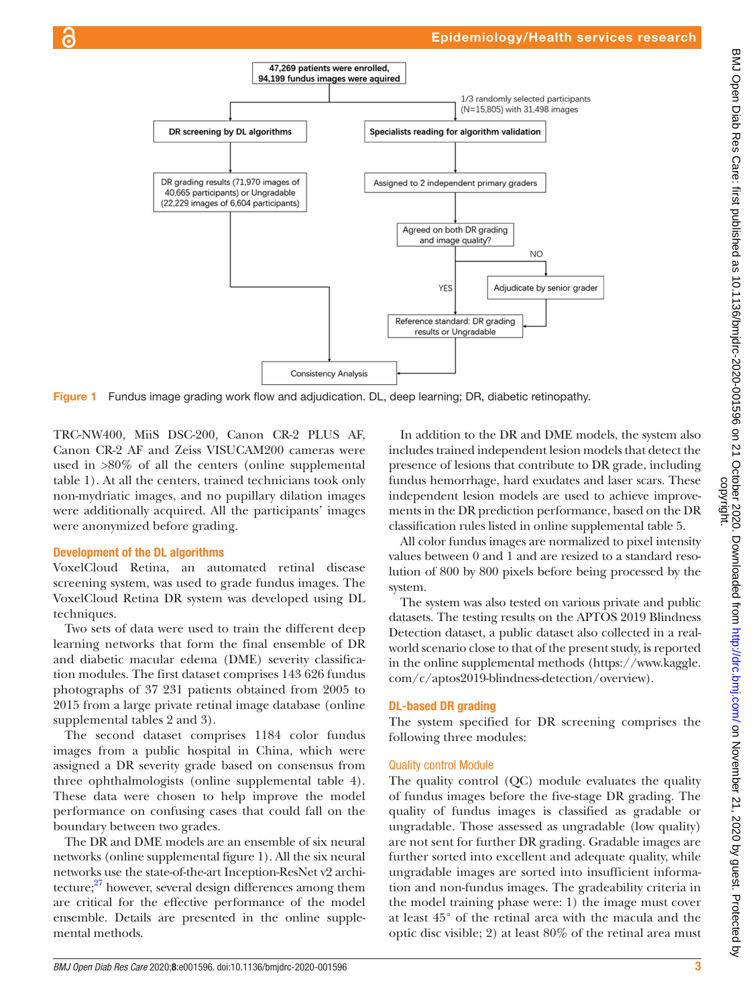

Figure 1 Fundus image grading work flow and adjudication. DL, deep learning; DR, diabetic retinopathy.

TRC-NW400, MiiS DSC-200, Canon CR-2 PLUS AF, Canon CR-2 AF and Zeiss VISUCAM200 cameras were used in >80% of all the centers [\(online supplemental](https://dx.doi.org/10.1136/bmjdrc-2020-001596) [table 1](https://dx.doi.org/10.1136/bmjdrc-2020-001596)). At all the centers, trained technicians took only non-mydriatic images, and no pupillary dilation images were additionally acquired. All the participants' images were anonymized before grading.

#### Development of the DL algorithms

VoxelCloud Retina, an automated retinal disease screening system, was used to grade fundus images. The VoxelCloud Retina DR system was developed using DL techniques.

Two sets of data were used to train the different deep learning networks that form the final ensemble of DR and diabetic macular edema (DME) severity classification modules. The first dataset comprises 143 626 fundus photographs of 37 231 patients obtained from 2005 to 2015 from a large private retinal image database [\(online](https://dx.doi.org/10.1136/bmjdrc-2020-001596) [supplemental tables 2 and 3\)](https://dx.doi.org/10.1136/bmjdrc-2020-001596).

The second dataset comprises 1184 color fundus images from a public hospital in China, which were assigned a DR severity grade based on consensus from three ophthalmologists ([online supplemental table 4](https://dx.doi.org/10.1136/bmjdrc-2020-001596)). These data were chosen to help improve the model performance on confusing cases that could fall on the boundary between two grades.

The DR and DME models are an ensemble of six neural networks [\(online supplemental figure 1](https://dx.doi.org/10.1136/bmjdrc-2020-001596)). All the six neural networks use the state-of-the-art Inception-ResNet v2 architecture; $^{27}$  however, several design differences among them are critical for the effective performance of the model ensemble. Details are presented in the [online supple](https://dx.doi.org/10.1136/bmjdrc-2020-001596)[mental methods.](https://dx.doi.org/10.1136/bmjdrc-2020-001596)

<span id="page-2-0"></span>In addition to the DR and DME models, the system also includes trained independent lesion models that detect the presence of lesions that contribute to DR grade, including fundus hemorrhage, hard exudates and laser scars. These independent lesion models are used to achieve improvements in the DR prediction performance, based on the DR classification rules listed in [online supplemental table 5.](https://dx.doi.org/10.1136/bmjdrc-2020-001596)

All color fundus images are normalized to pixel intensity values between 0 and 1 and are resized to a standard resolution of 800 by 800 pixels before being processed by the system.

The system was also tested on various private and public datasets. The testing results on the APTOS 2019 Blindness Detection dataset, a public dataset also collected in a realworld scenario close to that of the present study, is reported in the [online supplemental methods](https://dx.doi.org/10.1136/bmjdrc-2020-001596) [\(https://www.kaggle.](https://www.kaggle.com/c/aptos2019-blindness-detection/overview) [com/c/aptos2019-blindness-detection/overview\)](https://www.kaggle.com/c/aptos2019-blindness-detection/overview).

#### DL-based DR grading

The system specified for DR screening comprises the following three modules:

#### Quality control Module

The quality control (QC) module evaluates the quality of fundus images before the five-stage DR grading. The quality of fundus images is classified as gradable or ungradable. Those assessed as ungradable (low quality) are not sent for further DR grading. Gradable images are further sorted into excellent and adequate quality, while ungradable images are sorted into insufficient information and non-fundus images. The gradeability criteria in the model training phase were: 1) the image must cover at least 45° of the retinal area with the macula and the optic disc visible; 2) at least 80% of the retinal area must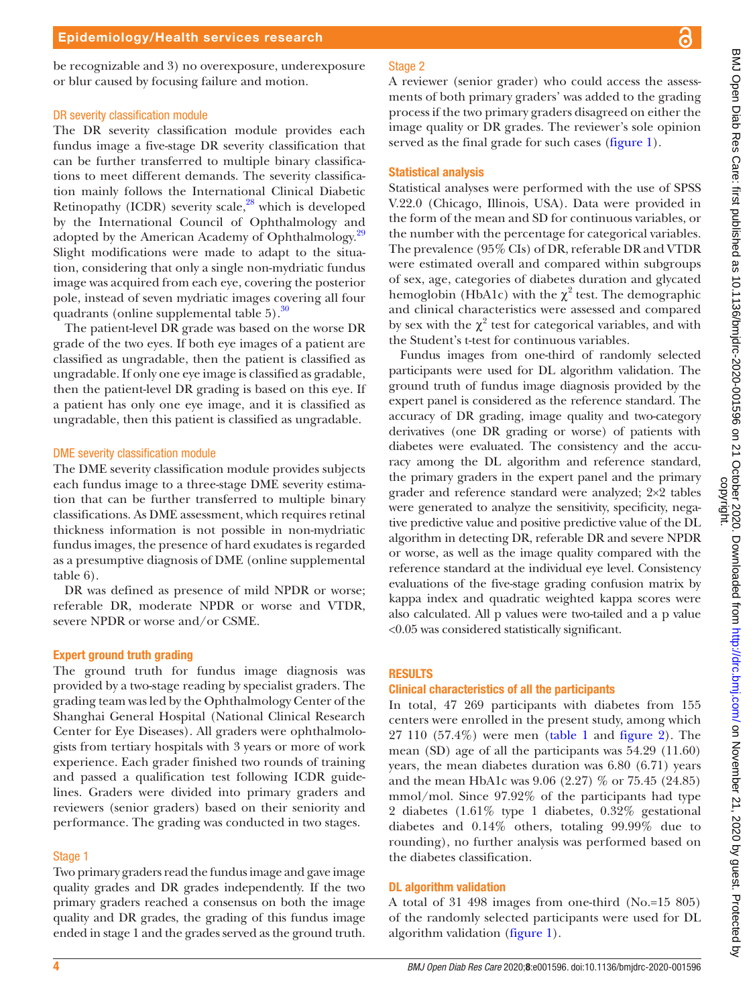be recognizable and 3) no overexposure, underexposure or blur caused by focusing failure and motion.

#### DR severity classification module

The DR severity classification module provides each fundus image a five-stage DR severity classification that can be further transferred to multiple binary classifications to meet different demands. The severity classification mainly follows the International Clinical Diabetic Retinopathy (ICDR) severity scale, $^{28}$  which is developed by the International Council of Ophthalmology and adopted by the American Academy of Ophthalmology.<sup>29</sup> Slight modifications were made to adapt to the situation, considering that only a single non-mydriatic fundus image was acquired from each eye, covering the posterior pole, instead of seven mydriatic images covering all four quadrants ([online supplemental table 5](https://dx.doi.org/10.1136/bmjdrc-2020-001596)).<sup>30</sup>

The patient-level DR grade was based on the worse DR grade of the two eyes. If both eye images of a patient are classified as ungradable, then the patient is classified as ungradable. If only one eye image is classified as gradable, then the patient-level DR grading is based on this eye. If a patient has only one eye image, and it is classified as ungradable, then this patient is classified as ungradable.

#### DME severity classification module

The DME severity classification module provides subjects each fundus image to a three-stage DME severity estimation that can be further transferred to multiple binary classifications. As DME assessment, which requires retinal thickness information is not possible in non-mydriatic fundus images, the presence of hard exudates is regarded as a presumptive diagnosis of DME ([online supplemental](https://dx.doi.org/10.1136/bmjdrc-2020-001596) [table 6](https://dx.doi.org/10.1136/bmjdrc-2020-001596)).

DR was defined as presence of mild NPDR or worse; referable DR, moderate NPDR or worse and VTDR, severe NPDR or worse and/or CSME.

#### Expert ground truth grading

The ground truth for fundus image diagnosis was provided by a two-stage reading by specialist graders. The grading team was led by the Ophthalmology Center of the Shanghai General Hospital (National Clinical Research Center for Eye Diseases). All graders were ophthalmologists from tertiary hospitals with 3 years or more of work experience. Each grader finished two rounds of training and passed a qualification test following ICDR guidelines. Graders were divided into primary graders and reviewers (senior graders) based on their seniority and performance. The grading was conducted in two stages.

#### Stage 1

Two primary graders read the fundus image and gave image quality grades and DR grades independently. If the two primary graders reached a consensus on both the image quality and DR grades, the grading of this fundus image ended in stage 1 and the grades served as the ground truth.

#### Stage 2

A reviewer (senior grader) who could access the assessments of both primary graders' was added to the grading process if the two primary graders disagreed on either the image quality or DR grades. The reviewer's sole opinion served as the final grade for such cases [\(figure](#page-2-0) 1).

#### Statistical analysis

Statistical analyses were performed with the use of SPSS V.22.0 (Chicago, Illinois, USA). Data were provided in the form of the mean and SD for continuous variables, or the number with the percentage for categorical variables. The prevalence (95% CIs) of DR, referable DR and VTDR were estimated overall and compared within subgroups of sex, age, categories of diabetes duration and glycated hemoglobin (HbA1c) with the  $\chi^2$  test. The demographic and clinical characteristics were assessed and compared by sex with the  $\chi^2$  test for categorical variables, and with the Student's t-test for continuous variables.

Fundus images from one-third of randomly selected participants were used for DL algorithm validation. The ground truth of fundus image diagnosis provided by the expert panel is considered as the reference standard. The accuracy of DR grading, image quality and two-category derivatives (one DR grading or worse) of patients with diabetes were evaluated. The consistency and the accuracy among the DL algorithm and reference standard, the primary graders in the expert panel and the primary grader and reference standard were analyzed; 2×2 tables were generated to analyze the sensitivity, specificity, negative predictive value and positive predictive value of the DL algorithm in detecting DR, referable DR and severe NPDR or worse, as well as the image quality compared with the reference standard at the individual eye level. Consistency evaluations of the five-stage grading confusion matrix by kappa index and quadratic weighted kappa scores were also calculated. All p values were two-tailed and a p value <0.05 was considered statistically significant.

#### RESULTS

#### Clinical characteristics of all the participants

In total, 47 269 participants with diabetes from 155 centers were enrolled in the present study, among which 27 110 (57.4%) were men ([table](#page-4-0) 1 and [figure](#page-4-1) 2). The mean (SD) age of all the participants was 54.29 (11.60) years, the mean diabetes duration was 6.80 (6.71) years and the mean HbA1c was 9.06 (2.27) % or 75.45 (24.85) mmol/mol. Since 97.92% of the participants had type 2 diabetes (1.61% type 1 diabetes, 0.32% gestational diabetes and 0.14% others, totaling 99.99% due to rounding), no further analysis was performed based on the diabetes classification.

#### DL algorithm validation

A total of 31 498 images from one-third (No.=15 805) of the randomly selected participants were used for DL algorithm validation [\(figure](#page-2-0) 1).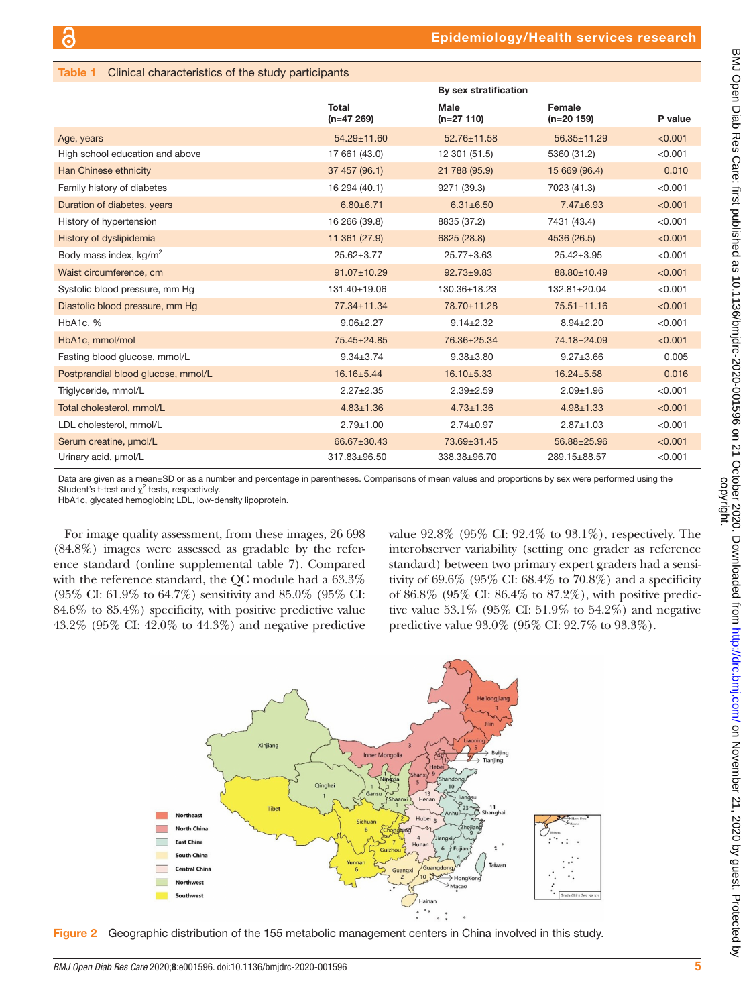#### <span id="page-4-0"></span>Table 1 Clinical characteristics of the study participants

|                                    |                      | By sex stratification       |                        |         |
|------------------------------------|----------------------|-----------------------------|------------------------|---------|
|                                    | Total<br>$(n=47269)$ | <b>Male</b><br>$(n=27 110)$ | Female<br>$(n=20 159)$ | P value |
| Age, years                         | $54.29 \pm 11.60$    | $52.76 \pm 11.58$           | $56.35 \pm 11.29$      | < 0.001 |
| High school education and above    | 17 661 (43.0)        | 12 301 (51.5)               | 5360 (31.2)            | < 0.001 |
| Han Chinese ethnicity              | 37 457 (96.1)        | 21 788 (95.9)               | 15 669 (96.4)          | 0.010   |
| Family history of diabetes         | 16 294 (40.1)        | 9271 (39.3)                 | 7023 (41.3)            | < 0.001 |
| Duration of diabetes, years        | $6.80 + 6.71$        | $6.31 \pm 6.50$             | $7.47 \pm 6.93$        | < 0.001 |
| History of hypertension            | 16 266 (39.8)        | 8835 (37.2)                 | 7431 (43.4)            | < 0.001 |
| History of dyslipidemia            | 11 361 (27.9)        | 6825 (28.8)                 | 4536 (26.5)            | < 0.001 |
| Body mass index, kg/m <sup>2</sup> | $25.62 \pm 3.77$     | $25.77 \pm 3.63$            | $25.42 \pm 3.95$       | < 0.001 |
| Waist circumference, cm            | $91.07 \pm 10.29$    | $92.73 + 9.83$              | 88.80±10.49            | < 0.001 |
| Systolic blood pressure, mm Hq     | 131.40±19.06         | 130.36±18.23                | 132.81±20.04           | < 0.001 |
| Diastolic blood pressure, mm Hg    | 77.34±11.34          | 78.70±11.28                 | $75.51 \pm 11.16$      | < 0.001 |
| HbA1c, %                           | $9.06 \pm 2.27$      | $9.14 \pm 2.32$             | $8.94 \pm 2.20$        | < 0.001 |
| HbA1c, mmol/mol                    | 75.45±24.85          | 76.36±25.34                 | 74.18±24.09            | < 0.001 |
| Fasting blood glucose, mmol/L      | $9.34 \pm 3.74$      | $9.38 + 3.80$               | $9.27 + 3.66$          | 0.005   |
| Postprandial blood glucose, mmol/L | 16.16±5.44           | 16.10±5.33                  | $16.24 \pm 5.58$       | 0.016   |
| Triglyceride, mmol/L               | $2.27 \pm 2.35$      | $2.39 + 2.59$               | $2.09 + 1.96$          | < 0.001 |
| Total cholesterol, mmol/L          | $4.83 \pm 1.36$      | $4.73 \pm 1.36$             | $4.98 + 1.33$          | < 0.001 |
| LDL cholesterol, mmol/L            | $2.79 \pm 1.00$      | $2.74 \pm 0.97$             | $2.87 + 1.03$          | < 0.001 |
| Serum creatine, µmol/L             | 66.67±30.43          | 73.69±31.45                 | 56.88±25.96            | < 0.001 |
| Urinary acid, umol/L               | 317.83±96.50         | 338.38±96.70                | 289.15±88.57           | < 0.001 |

Data are given as a mean±SD or as a number and percentage in parentheses. Comparisons of mean values and proportions by sex were performed using the Student's t-test and  $\chi^2$  tests, respectively.

HbA1c, glycated hemoglobin; LDL, low-density lipoprotein.

For image quality assessment, from these images, 26 698 (84.8%) images were assessed as gradable by the reference standard ([online supplemental table 7\)](https://dx.doi.org/10.1136/bmjdrc-2020-001596). Compared with the reference standard, the QC module had a 63.3% (95% CI: 61.9% to 64.7%) sensitivity and 85.0% (95% CI: 84.6% to 85.4%) specificity, with positive predictive value 43.2% (95% CI: 42.0% to 44.3%) and negative predictive

value 92.8% (95% CI: 92.4% to 93.1%), respectively. The interobserver variability (setting one grader as reference standard) between two primary expert graders had a sensitivity of 69.6% (95% CI: 68.4% to 70.8%) and a specificity of 86.8% (95% CI: 86.4% to 87.2%), with positive predictive value 53.1% (95% CI: 51.9% to 54.2%) and negative predictive value 93.0% (95% CI: 92.7% to 93.3%).



<span id="page-4-1"></span>Figure 2 Geographic distribution of the 155 metabolic management centers in China involved in this study.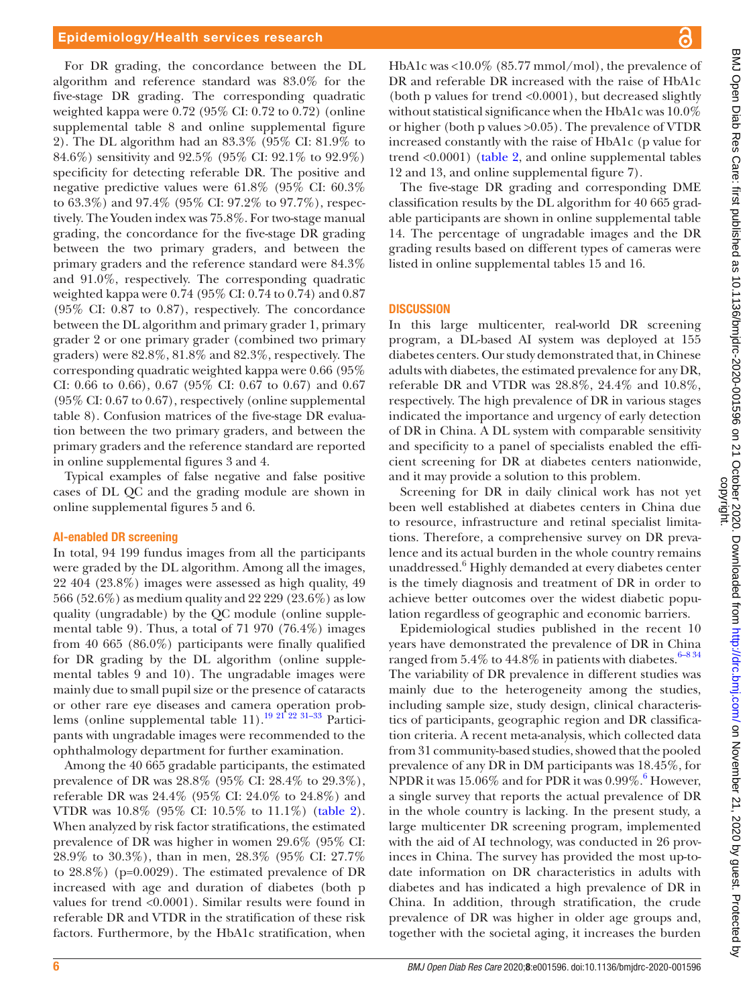For DR grading, the concordance between the DL algorithm and reference standard was 83.0% for the five-stage DR grading. The corresponding quadratic weighted kappa were 0.72 (95% CI: 0.72 to 0.72) [\(online](https://dx.doi.org/10.1136/bmjdrc-2020-001596) [supplemental table 8](https://dx.doi.org/10.1136/bmjdrc-2020-001596) and [online supplemental figure](https://dx.doi.org/10.1136/bmjdrc-2020-001596) [2](https://dx.doi.org/10.1136/bmjdrc-2020-001596)). The DL algorithm had an 83.3% (95% CI: 81.9% to 84.6%) sensitivity and 92.5% (95% CI: 92.1% to 92.9%) specificity for detecting referable DR. The positive and negative predictive values were 61.8% (95% CI: 60.3% to 63.3%) and 97.4% (95% CI: 97.2% to 97.7%), respectively. The Youden index was 75.8%. For two-stage manual grading, the concordance for the five-stage DR grading between the two primary graders, and between the primary graders and the reference standard were 84.3% and 91.0%, respectively. The corresponding quadratic weighted kappa were 0.74 (95% CI: 0.74 to 0.74) and 0.87 (95% CI: 0.87 to 0.87), respectively. The concordance between the DL algorithm and primary grader 1, primary grader 2 or one primary grader (combined two primary graders) were 82.8%, 81.8% and 82.3%, respectively. The corresponding quadratic weighted kappa were 0.66 (95% CI: 0.66 to 0.66), 0.67 (95% CI: 0.67 to 0.67) and 0.67 (95% CI: 0.67 to 0.67), respectively ([online supplemental](https://dx.doi.org/10.1136/bmjdrc-2020-001596) [table 8\)](https://dx.doi.org/10.1136/bmjdrc-2020-001596). Confusion matrices of the five-stage DR evaluation between the two primary graders, and between the primary graders and the reference standard are reported in [online supplemental figures 3 and 4](https://dx.doi.org/10.1136/bmjdrc-2020-001596).

Typical examples of false negative and false positive cases of DL QC and the grading module are shown in [online supplemental figures 5 and 6.](https://dx.doi.org/10.1136/bmjdrc-2020-001596)

#### AI-enabled DR screening

In total, 94 199 fundus images from all the participants were graded by the DL algorithm. Among all the images, 22 404 (23.8%) images were assessed as high quality, 49 566 (52.6%) as medium quality and 22 229 (23.6%) as low quality (ungradable) by the QC module ([online supple](https://dx.doi.org/10.1136/bmjdrc-2020-001596)[mental table 9\)](https://dx.doi.org/10.1136/bmjdrc-2020-001596). Thus, a total of 71 970 (76.4%) images from 40 665 (86.0%) participants were finally qualified for DR grading by the DL algorithm ([online supple](https://dx.doi.org/10.1136/bmjdrc-2020-001596)[mental tables 9 and 10\)](https://dx.doi.org/10.1136/bmjdrc-2020-001596). The ungradable images were mainly due to small pupil size or the presence of cataracts or other rare eye diseases and camera operation prob-lems [\(online supplemental table 11](https://dx.doi.org/10.1136/bmjdrc-2020-001596)).<sup>19 21 22 31-33</sup> Participants with ungradable images were recommended to the ophthalmology department for further examination.

Among the 40 665 gradable participants, the estimated prevalence of DR was 28.8% (95% CI: 28.4% to 29.3%), referable DR was 24.4% (95% CI: 24.0% to 24.8%) and VTDR was 10.8% (95% CI: 10.5% to 11.1%) ([table](#page-6-0) 2). When analyzed by risk factor stratifications, the estimated prevalence of DR was higher in women 29.6% (95% CI: 28.9% to 30.3%), than in men, 28.3% (95% CI: 27.7% to 28.8%) (p=0.0029). The estimated prevalence of DR increased with age and duration of diabetes (both p values for trend <0.0001). Similar results were found in referable DR and VTDR in the stratification of these risk factors. Furthermore, by the HbA1c stratification, when

HbA1c was <10.0% (85.77 mmol/mol), the prevalence of DR and referable DR increased with the raise of HbA1c (both p values for trend <0.0001), but decreased slightly without statistical significance when the HbA1c was 10.0% or higher (both p values >0.05). The prevalence of VTDR increased constantly with the raise of HbA1c (p value for trend <0.0001) ([table](#page-6-0) 2, and [online supplemental tables](https://dx.doi.org/10.1136/bmjdrc-2020-001596) [12 and 13](https://dx.doi.org/10.1136/bmjdrc-2020-001596), and [online supplemental figure 7](https://dx.doi.org/10.1136/bmjdrc-2020-001596)).

The five-stage DR grading and corresponding DME classification results by the DL algorithm for 40 665 gradable participants are shown in [online supplemental table](https://dx.doi.org/10.1136/bmjdrc-2020-001596) [14](https://dx.doi.org/10.1136/bmjdrc-2020-001596). The percentage of ungradable images and the DR grading results based on different types of cameras were listed in [online supplemental tables 15 and 16.](https://dx.doi.org/10.1136/bmjdrc-2020-001596)

#### **DISCUSSION**

In this large multicenter, real-world DR screening program, a DL-based AI system was deployed at 155 diabetes centers. Our study demonstrated that, in Chinese adults with diabetes, the estimated prevalence for any DR, referable DR and VTDR was 28.8%, 24.4% and 10.8%, respectively. The high prevalence of DR in various stages indicated the importance and urgency of early detection of DR in China. A DL system with comparable sensitivity and specificity to a panel of specialists enabled the efficient screening for DR at diabetes centers nationwide, and it may provide a solution to this problem.

Screening for DR in daily clinical work has not yet been well established at diabetes centers in China due to resource, infrastructure and retinal specialist limitations. Therefore, a comprehensive survey on DR prevalence and its actual burden in the whole country remains unaddressed.<sup>6</sup> Highly demanded at every diabetes center is the timely diagnosis and treatment of DR in order to achieve better outcomes over the widest diabetic population regardless of geographic and economic barriers.

Epidemiological studies published in the recent 10 years have demonstrated the prevalence of DR in China ranged from 5.4% to 44.8% in patients with diabetes.  $6-834$ The variability of DR prevalence in different studies was mainly due to the heterogeneity among the studies, including sample size, study design, clinical characteristics of participants, geographic region and DR classification criteria. A recent meta-analysis, which collected data from 31 community-based studies, showed that the pooled prevalence of any DR in DM participants was 18.45%, for NPDR it was 15.06% and for PDR it was 0.99%.<sup>6</sup> However, a single survey that reports the actual prevalence of DR in the whole country is lacking. In the present study, a large multicenter DR screening program, implemented with the aid of AI technology, was conducted in 26 provinces in China. The survey has provided the most up-todate information on DR characteristics in adults with diabetes and has indicated a high prevalence of DR in China. In addition, through stratification, the crude prevalence of DR was higher in older age groups and, together with the societal aging, it increases the burden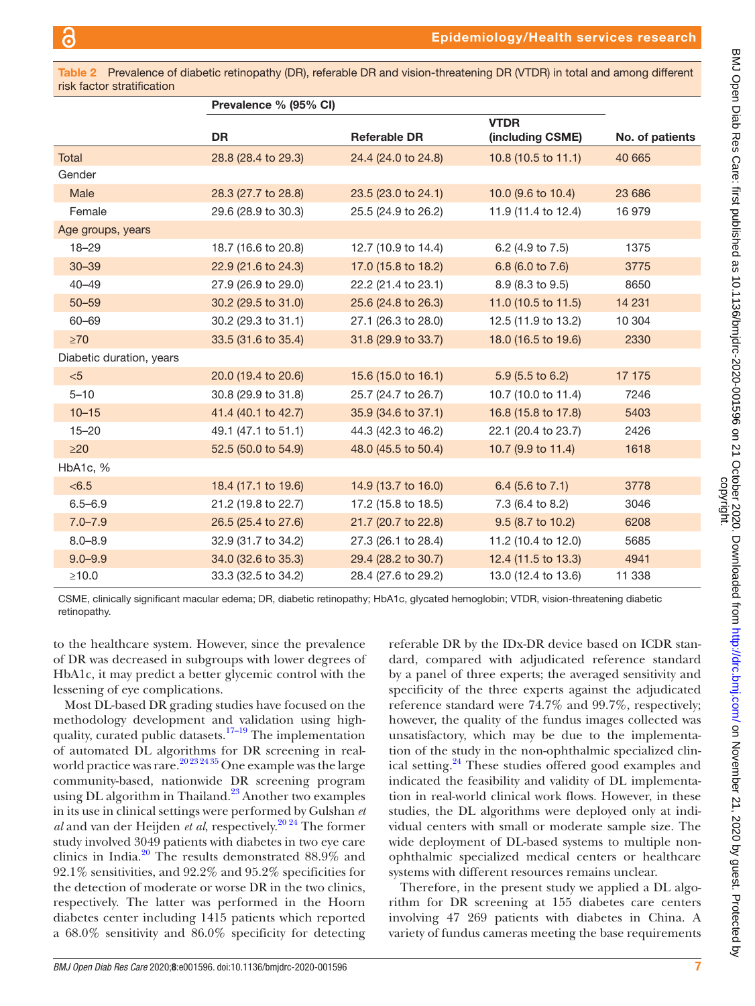<span id="page-6-0"></span>Table 2 Prevalence of diabetic retinopathy (DR), referable DR and vision-threatening DR (VTDR) in total and among different risk factor stratification

|                          | Prevalence % (95% CI) |                     |                                 |                 |  |
|--------------------------|-----------------------|---------------------|---------------------------------|-----------------|--|
|                          | DR                    | <b>Referable DR</b> | <b>VTDR</b><br>(including CSME) | No. of patients |  |
| Total                    | 28.8 (28.4 to 29.3)   | 24.4 (24.0 to 24.8) | 10.8 (10.5 to 11.1)             | 40 665          |  |
| Gender                   |                       |                     |                                 |                 |  |
| Male                     | 28.3 (27.7 to 28.8)   | 23.5 (23.0 to 24.1) | 10.0 (9.6 to 10.4)              | 23 686          |  |
| Female                   | 29.6 (28.9 to 30.3)   | 25.5 (24.9 to 26.2) | 11.9 (11.4 to 12.4)             | 16979           |  |
| Age groups, years        |                       |                     |                                 |                 |  |
| $18 - 29$                | 18.7 (16.6 to 20.8)   | 12.7 (10.9 to 14.4) | 6.2 (4.9 to 7.5)                | 1375            |  |
| $30 - 39$                | 22.9 (21.6 to 24.3)   | 17.0 (15.8 to 18.2) | 6.8 (6.0 to 7.6)                | 3775            |  |
| $40 - 49$                | 27.9 (26.9 to 29.0)   | 22.2 (21.4 to 23.1) | 8.9 (8.3 to 9.5)                | 8650            |  |
| $50 - 59$                | 30.2 (29.5 to 31.0)   | 25.6 (24.8 to 26.3) | 11.0 (10.5 to 11.5)             | 14 2 31         |  |
| $60 - 69$                | 30.2 (29.3 to 31.1)   | 27.1 (26.3 to 28.0) | 12.5 (11.9 to 13.2)             | 10 304          |  |
| $\geq 70$                | 33.5 (31.6 to 35.4)   | 31.8 (29.9 to 33.7) | 18.0 (16.5 to 19.6)             | 2330            |  |
| Diabetic duration, years |                       |                     |                                 |                 |  |
| < 5                      | 20.0 (19.4 to 20.6)   | 15.6 (15.0 to 16.1) | 5.9 (5.5 to 6.2)                | 17 175          |  |
| $5 - 10$                 | 30.8 (29.9 to 31.8)   | 25.7 (24.7 to 26.7) | 10.7 (10.0 to 11.4)             | 7246            |  |
| $10 - 15$                | 41.4 (40.1 to 42.7)   | 35.9 (34.6 to 37.1) | 16.8 (15.8 to 17.8)             | 5403            |  |
| $15 - 20$                | 49.1 (47.1 to 51.1)   | 44.3 (42.3 to 46.2) | 22.1 (20.4 to 23.7)             | 2426            |  |
| $\geq 20$                | 52.5 (50.0 to 54.9)   | 48.0 (45.5 to 50.4) | 10.7 (9.9 to 11.4)              | 1618            |  |
| HbA1c, %                 |                       |                     |                                 |                 |  |
| < 6.5                    | 18.4 (17.1 to 19.6)   | 14.9 (13.7 to 16.0) | 6.4 (5.6 to 7.1)                | 3778            |  |
| $6.5 - 6.9$              | 21.2 (19.8 to 22.7)   | 17.2 (15.8 to 18.5) | 7.3 (6.4 to 8.2)                | 3046            |  |
| $7.0 - 7.9$              | 26.5 (25.4 to 27.6)   | 21.7 (20.7 to 22.8) | 9.5 (8.7 to 10.2)               | 6208            |  |
| $8.0 - 8.9$              | 32.9 (31.7 to 34.2)   | 27.3 (26.1 to 28.4) | 11.2 (10.4 to 12.0)             | 5685            |  |
| $9.0 - 9.9$              | 34.0 (32.6 to 35.3)   | 29.4 (28.2 to 30.7) | 12.4 (11.5 to 13.3)             | 4941            |  |
| $\geq 10.0$              | 33.3 (32.5 to 34.2)   | 28.4 (27.6 to 29.2) | 13.0 (12.4 to 13.6)             | 11 338          |  |

CSME, clinically significant macular edema; DR, diabetic retinopathy; HbA1c, glycated hemoglobin; VTDR, vision-threatening diabetic retinopathy.

to the healthcare system. However, since the prevalence of DR was decreased in subgroups with lower degrees of HbA1c, it may predict a better glycemic control with the lessening of eye complications.

Most DL-based DR grading studies have focused on the methodology development and validation using highquality, curated public datasets.<sup>17–19</sup> The implementation of automated DL algorithms for DR screening in realworld practice was rare.<sup>20 23 24 35</sup> One example was the large community-based, nationwide DR screening program using  $DL$  algorithm in Thailand.<sup>23</sup> Another two examples in its use in clinical settings were performed by Gulshan *et al* and van der Heijden *et al*, respectively.<sup>20 24</sup> The former study involved 3049 patients with diabetes in two eye care clinics in India.[20](#page-9-10) The results demonstrated 88.9% and 92.1% sensitivities, and 92.2% and 95.2% specificities for the detection of moderate or worse DR in the two clinics, respectively. The latter was performed in the Hoorn diabetes center including 1415 patients which reported a 68.0% sensitivity and 86.0% specificity for detecting

referable DR by the IDx-DR device based on ICDR standard, compared with adjudicated reference standard by a panel of three experts; the averaged sensitivity and specificity of the three experts against the adjudicated reference standard were 74.7% and 99.7%, respectively; however, the quality of the fundus images collected was unsatisfactory, which may be due to the implementation of the study in the non-ophthalmic specialized clinical setting[.24](#page-9-19) These studies offered good examples and indicated the feasibility and validity of DL implementation in real-world clinical work flows. However, in these studies, the DL algorithms were deployed only at individual centers with small or moderate sample size. The wide deployment of DL-based systems to multiple nonophthalmic specialized medical centers or healthcare systems with different resources remains unclear.

Therefore, in the present study we applied a DL algorithm for DR screening at 155 diabetes care centers involving 47 269 patients with diabetes in China. A variety of fundus cameras meeting the base requirements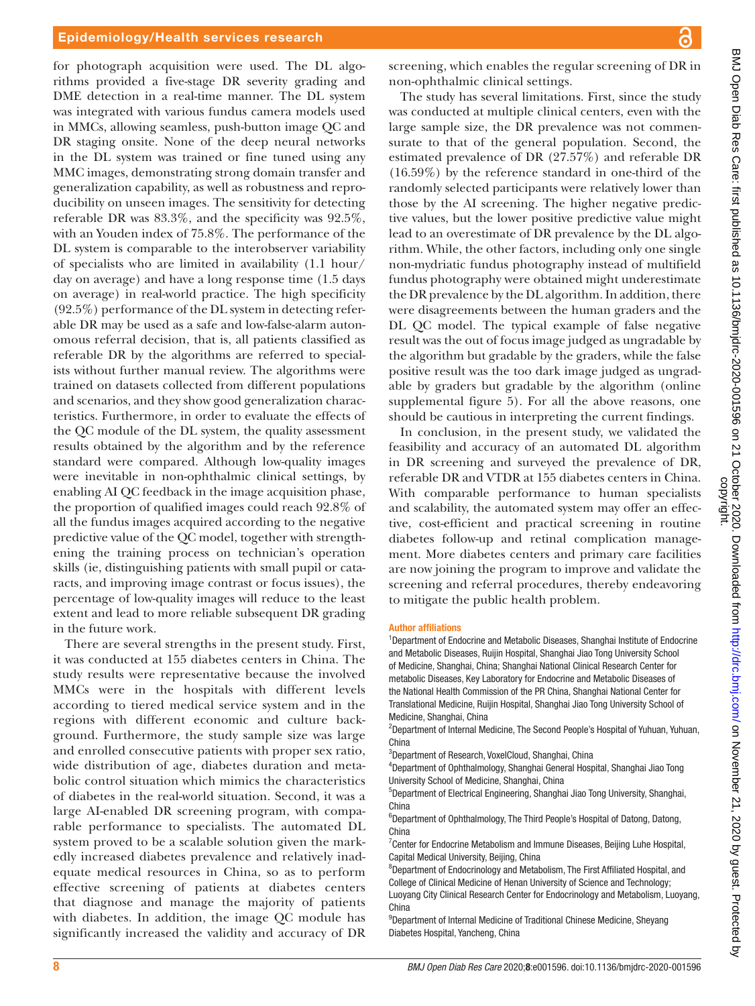for photograph acquisition were used. The DL algorithms provided a five-stage DR severity grading and DME detection in a real-time manner. The DL system was integrated with various fundus camera models used in MMCs, allowing seamless, push-button image QC and DR staging onsite. None of the deep neural networks in the DL system was trained or fine tuned using any MMC images, demonstrating strong domain transfer and generalization capability, as well as robustness and reproducibility on unseen images. The sensitivity for detecting referable DR was 83.3%, and the specificity was 92.5%, with an Youden index of 75.8%. The performance of the DL system is comparable to the interobserver variability of specialists who are limited in availability (1.1 hour/ day on average) and have a long response time (1.5 days on average) in real-world practice. The high specificity (92.5%) performance of the DL system in detecting referable DR may be used as a safe and low-false-alarm autonomous referral decision, that is, all patients classified as referable DR by the algorithms are referred to specialists without further manual review. The algorithms were trained on datasets collected from different populations and scenarios, and they show good generalization characteristics. Furthermore, in order to evaluate the effects of the QC module of the DL system, the quality assessment results obtained by the algorithm and by the reference standard were compared. Although low-quality images were inevitable in non-ophthalmic clinical settings, by enabling AI QC feedback in the image acquisition phase, the proportion of qualified images could reach 92.8% of all the fundus images acquired according to the negative predictive value of the QC model, together with strengthening the training process on technician's operation skills (ie, distinguishing patients with small pupil or cataracts, and improving image contrast or focus issues), the percentage of low-quality images will reduce to the least extent and lead to more reliable subsequent DR grading in the future work.

There are several strengths in the present study. First, it was conducted at 155 diabetes centers in China. The study results were representative because the involved MMCs were in the hospitals with different levels according to tiered medical service system and in the regions with different economic and culture background. Furthermore, the study sample size was large and enrolled consecutive patients with proper sex ratio, wide distribution of age, diabetes duration and metabolic control situation which mimics the characteristics of diabetes in the real-world situation. Second, it was a large AI-enabled DR screening program, with comparable performance to specialists. The automated DL system proved to be a scalable solution given the markedly increased diabetes prevalence and relatively inadequate medical resources in China, so as to perform effective screening of patients at diabetes centers that diagnose and manage the majority of patients with diabetes. In addition, the image QC module has significantly increased the validity and accuracy of DR

screening, which enables the regular screening of DR in non-ophthalmic clinical settings.

The study has several limitations. First, since the study was conducted at multiple clinical centers, even with the large sample size, the DR prevalence was not commensurate to that of the general population. Second, the estimated prevalence of DR (27.57%) and referable DR (16.59%) by the reference standard in one-third of the randomly selected participants were relatively lower than those by the AI screening. The higher negative predictive values, but the lower positive predictive value might lead to an overestimate of DR prevalence by the DL algorithm. While, the other factors, including only one single non-mydriatic fundus photography instead of multifield fundus photography were obtained might underestimate the DR prevalence by the DL algorithm. In addition, there were disagreements between the human graders and the DL QC model. The typical example of false negative result was the out of focus image judged as ungradable by the algorithm but gradable by the graders, while the false positive result was the too dark image judged as ungradable by graders but gradable by the algorithm [\(online](https://dx.doi.org/10.1136/bmjdrc-2020-001596) [supplemental figure 5](https://dx.doi.org/10.1136/bmjdrc-2020-001596)). For all the above reasons, one should be cautious in interpreting the current findings.

In conclusion, in the present study, we validated the feasibility and accuracy of an automated DL algorithm in DR screening and surveyed the prevalence of DR, referable DR and VTDR at 155 diabetes centers in China. With comparable performance to human specialists and scalability, the automated system may offer an effective, cost-efficient and practical screening in routine diabetes follow-up and retinal complication management. More diabetes centers and primary care facilities are now joining the program to improve and validate the screening and referral procedures, thereby endeavoring to mitigate the public health problem.

#### Author affiliations

<sup>1</sup>Department of Endocrine and Metabolic Diseases, Shanghai Institute of Endocrine and Metabolic Diseases, Ruijin Hospital, Shanghai Jiao Tong University School of Medicine, Shanghai, China; Shanghai National Clinical Research Center for metabolic Diseases, Key Laboratory for Endocrine and Metabolic Diseases of the National Health Commission of the PR China, Shanghai National Center for Translational Medicine, Ruijin Hospital, Shanghai Jiao Tong University School of Medicine, Shanghai, China

<sup>2</sup>Department of Internal Medicine, The Second People's Hospital of Yuhuan, Yuhuan, China

<sup>3</sup>Department of Research, VoxelCloud, Shanghai, China

4 Department of Ophthalmology, Shanghai General Hospital, Shanghai Jiao Tong University School of Medicine, Shanghai, China

5 Department of Electrical Engineering, Shanghai Jiao Tong University, Shanghai, China

<sup>6</sup>Department of Ophthalmology, The Third People's Hospital of Datong, Datong, China

<sup>7</sup> Center for Endocrine Metabolism and Immune Diseases, Beijing Luhe Hospital, Capital Medical University, Beijing, China

<sup>8</sup>Department of Endocrinology and Metabolism, The First Affiliated Hospital, and College of Clinical Medicine of Henan University of Science and Technology; Luoyang City Clinical Research Center for Endocrinology and Metabolism, Luoyang, China

<sup>9</sup>Department of Internal Medicine of Traditional Chinese Medicine, Sheyang Diabetes Hospital, Yancheng, China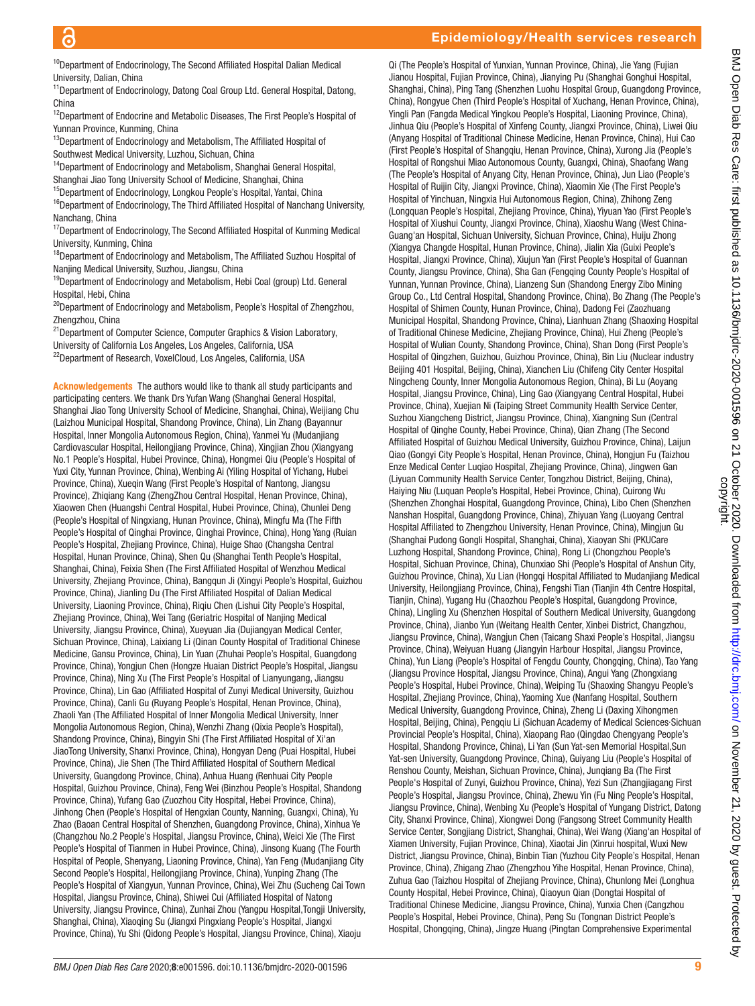Qi (The People's Hospital of Yunxian, Yunnan Province, China), Jie Yang (Fujian

BMJ Open Diab Res Care: first published as 10.1136/bmjdrc-2020-001596 on 21 October 2020. Downloaded from http://drc.bmj.com/ on November 21, 2020 by guest. Protected by<br>copyright. BMJ Open Diab Res Care: first published as 10.1136/bmjdrc-2020-001596 on 21 October 2020. Downloaded from <http://drc.bmj.com/> on November 21, 2020 by guest. Protected by

<sup>10</sup>Department of Endocrinology, The Second Affiliated Hospital Dalian Medical University, Dalian, China

<sup>11</sup>Department of Endocrinology, Datong Coal Group Ltd. General Hospital, Datong, China

<sup>12</sup>Department of Endocrine and Metabolic Diseases, The First People's Hospital of Yunnan Province, Kunming, China

<sup>13</sup>Department of Endocrinology and Metabolism, The Affiliated Hospital of Southwest Medical University, Luzhou, Sichuan, China

<sup>14</sup>Department of Endocrinology and Metabolism, Shanghai General Hospital, Shanghai Jiao Tong University School of Medicine, Shanghai, China

<sup>15</sup>Department of Endocrinology, Longkou People's Hospital, Yantai, China

<sup>16</sup>Department of Endocrinology, The Third Affiliated Hospital of Nanchang University, Nanchang, China

<sup>17</sup>Department of Endocrinology, The Second Affiliated Hospital of Kunming Medical University, Kunming, China

<sup>18</sup>Department of Endocrinology and Metabolism, The Affiliated Suzhou Hospital of Nanjing Medical University, Suzhou, Jiangsu, China

<sup>19</sup>Department of Endocrinology and Metabolism, Hebi Coal (group) Ltd. General Hospital, Hebi, China

<sup>20</sup>Department of Endocrinology and Metabolism, People's Hospital of Zhengzhou, Zhengzhou, China

<sup>21</sup> Department of Computer Science, Computer Graphics & Vision Laboratory, University of California Los Angeles, Los Angeles, California, USA

<sup>22</sup>Department of Research, VoxelCloud, Los Angeles, California, USA

Acknowledgements The authors would like to thank all study participants and participating centers. We thank Drs Yufan Wang (Shanghai General Hospital, Shanghai Jiao Tong University School of Medicine, Shanghai, China), Weijiang Chu (Laizhou Municipal Hospital, Shandong Province, China), Lin Zhang (Bayannur Hospital, Inner Mongolia Autonomous Region, China), Yanmei Yu (Mudanjiang Cardiovascular Hospital, Heilongjiang Province, China), Xingjian Zhou (Xiangyang No.1 People's Hospital, Hubei Province, China), Hongmei Qiu (People's Hospital of Yuxi City, Yunnan Province, China), Wenbing Ai (Yiling Hospital of Yichang, Hubei Province, China), Xueqin Wang (First People's Hospital of Nantong, Jiangsu Province), Zhiqiang Kang (ZhengZhou Central Hospital, Henan Province, China), Xiaowen Chen (Huangshi Central Hospital, Hubei Province, China), Chunlei Deng (People's Hospital of Ningxiang, Hunan Province, China), Mingfu Ma (The Fifth People's Hospital of Qinghai Province, Qinghai Province, China), Hong Yang (Ruian People's Hospital, Zhejiang Province, China), Huige Shao (Changsha Central Hospital, Hunan Province, China), Shen Qu (Shanghai Tenth People's Hospital, Shanghai, China), Feixia Shen (The First Affiliated Hospital of Wenzhou Medical University, Zhejiang Province, China), Bangqun Ji (Xingyi People's Hospital, Guizhou Province, China), Jianling Du (The First Affiliated Hospital of Dalian Medical University, Liaoning Province, China), Riqiu Chen (Lishui City People's Hospital, Zhejiang Province, China), Wei Tang (Geriatric Hospital of Nanjing Medical University, Jiangsu Province, China), Xueyuan Jia (Dujiangyan Medical Center, Sichuan Province, China), Laixiang Li (Qinan County Hospital of Traditional Chinese Medicine, Gansu Province, China), Lin Yuan (Zhuhai People's Hospital, Guangdong Province, China), Yongjun Chen (Hongze Huaian District People's Hospital, Jiangsu Province, China), Ning Xu (The First People's Hospital of Lianyungang, Jiangsu Province, China), Lin Gao (Affiliated Hospital of Zunyi Medical University, Guizhou Province, China), Canli Gu (Ruyang People's Hospital, Henan Province, China), Zhaoli Yan (The Affiliated Hospital of Inner Mongolia Medical University, Inner Mongolia Autonomous Region, China), Wenzhi Zhang (Qixia People's Hospital), Shandong Province, China), Bingyin Shi (The First Affiliated Hospital of Xi'an JiaoTong University, Shanxi Province, China), Hongyan Deng (Puai Hospital, Hubei Province, China), Jie Shen (The Third Affiliated Hospital of Southern Medical University, Guangdong Province, China), Anhua Huang (Renhuai City People Hospital, Guizhou Province, China), Feng Wei (Binzhou People's Hospital, Shandong Province, China), Yufang Gao (Zuozhou City Hospital, Hebei Province, China), Jinhong Chen (People's Hospital of Hengxian County, Nanning, Guangxi, China), Yu Zhao (Baoan Central Hospital of Shenzhen, Guangdong Province, China), Xinhua Ye (Changzhou No.2 People's Hospital, Jiangsu Province, China), Weici Xie (The First People's Hospital of Tianmen in Hubei Province, China), Jinsong Kuang (The Fourth Hospital of People, Shenyang, Liaoning Province, China), Yan Feng (Mudanjiang City Second People's Hospital, Heilongjiang Province, China), Yunping Zhang (The People's Hospital of Xiangyun, Yunnan Province, China), Wei Zhu (Sucheng Cai Town Hospital, Jiangsu Province, China), Shiwei Cui (Affiliated Hospital of Natong University, Jiangsu Province, China), Zunhai Zhou (Yangpu Hospital,Tongji University, Shanghai, China), Xiaoqing Su (Jiangxi Pingxiang People's Hospital, Jiangxi Province, China), Yu Shi (Qidong People's Hospital, Jiangsu Province, China), Xiaoju

Jianou Hospital, Fujian Province, China), Jianying Pu (Shanghai Gonghui Hospital, Shanghai, China), Ping Tang (Shenzhen Luohu Hospital Group, Guangdong Province, China), Rongyue Chen (Third People's Hospital of Xuchang, Henan Province, China), Yingli Pan (Fangda Medical Yingkou People's Hospital, Liaoning Province, China), Jinhua Qiu (People's Hospital of Xinfeng County, Jiangxi Province, China), Liwei Qiu (Anyang Hospital of Traditional Chinese Medicine, Henan Province, China), Hui Cao (First People's Hospital of Shangqiu, Henan Province, China), Xurong Jia (People's Hospital of Rongshui Miao Autonomous County, Guangxi, China), Shaofang Wang (The People's Hospital of Anyang City, Henan Province, China), Jun Liao (People's Hospital of Ruijin City, Jiangxi Province, China), Xiaomin Xie (The First People's Hospital of Yinchuan, Ningxia Hui Autonomous Region, China), Zhihong Zeng (Longquan People's Hospital, Zhejiang Province, China), Yiyuan Yao (First People's Hospital of Xiushui County, Jiangxi Province, China), Xiaoshu Wang (West China-Guang'an Hospital, Sichuan University, Sichuan Province, China), Huiju Zhong (Xiangya Changde Hospital, Hunan Province, China), Jialin Xia (Guixi People's Hospital, Jiangxi Province, China), Xiujun Yan (First People's Hospital of Guannan County, Jiangsu Province, China), Sha Gan (Fengqing County People's Hospital of Yunnan, Yunnan Province, China), Lianzeng Sun (Shandong Energy Zibo Mining Group Co., Ltd Central Hospital, Shandong Province, China), Bo Zhang (The People's Hospital of Shimen County, Hunan Province, China), Dadong Fei (Zaozhuang Municipal Hospital, Shandong Province, China), Lianhuan Zhang (Shaoxing Hospital of Traditional Chinese Medicine, Zhejiang Province, China), Hui Zheng (People's Hospital of Wulian County, Shandong Province, China), Shan Dong (First People's Hospital of Qingzhen, Guizhou, Guizhou Province, China), Bin Liu (Nuclear industry Beijing 401 Hospital, Beijing, China), Xianchen Liu (Chifeng City Center Hospital Ningcheng County, Inner Mongolia Autonomous Region, China), Bi Lu (Aoyang Hospital, Jiangsu Province, China), Ling Gao (Xiangyang Central Hospital, Hubei Province, China), Xuejian Ni (Taiping Street Community Health Service Center, Suzhou Xiangcheng District, Jiangsu Province, China), Xiangning Sun (Central Hospital of Qinghe County, Hebei Province, China), Qian Zhang (The Second Affiliated Hospital of Guizhou Medical University, Guizhou Province, China), Laijun Qiao (Gongyi City People's Hospital, Henan Province, China), Hongjun Fu (Taizhou Enze Medical Center Luqiao Hospital, Zhejiang Province, China), Jingwen Gan (Liyuan Community Health Service Center, Tongzhou District, Beijing, China), Haiying Niu (Luquan People's Hospital, Hebei Province, China), Cuirong Wu (Shenzhen Zhonghai Hospital, Guangdong Province, China), Libo Chen (Shenzhen Nanshan Hospital, Guangdong Province, China), Zhiyuan Yang (Luoyang Central Hospital Affiliated to Zhengzhou University, Henan Province, China), Mingjun Gu (Shanghai Pudong Gongli Hospital, Shanghai, China), Xiaoyan Shi (PKUCare Luzhong Hospital, Shandong Province, China), Rong Li (Chongzhou People's Hospital, Sichuan Province, China), Chunxiao Shi (People's Hospital of Anshun City, Guizhou Province, China), Xu Lian (Hongqi Hospital Affiliated to Mudanjiang Medical University, Heilongjiang Province, China), Fengshi Tian (Tianjin 4th Centre Hospital, Tianjin, China), Yugang Hu (Chaozhou People's Hospital, Guangdong Province, China), Lingling Xu (Shenzhen Hospital of Southern Medical University, Guangdong Province, China), Jianbo Yun (Weitang Health Center, Xinbei District, Changzhou, Jiangsu Province, China), Wangjun Chen (Taicang Shaxi People's Hospital, Jiangsu Province, China), Weiyuan Huang (Jiangyin Harbour Hospital, Jiangsu Province, China), Yun Liang (People's Hospital of Fengdu County, Chongqing, China), Tao Yang (Jiangsu Province Hospital, Jiangsu Province, China), Angui Yang (Zhongxiang People's Hospital, Hubei Province, China), Weiping Tu (Shaoxing Shangyu People's Hospital, Zhejiang Province, China), Yaoming Xue (Nanfang Hospital, Southern Medical University, Guangdong Province, China), Zheng Li (Daxing Xihongmen Hospital, Beijing, China), Pengqiu Li (Sichuan Academy of Medical Sciences·Sichuan Provincial People's Hospital, China), Xiaopang Rao (Qingdao Chengyang People's Hospital, Shandong Province, China), Li Yan (Sun Yat-sen Memorial Hospital,Sun Yat-sen University, Guangdong Province, China), Guiyang Liu (People's Hospital of Renshou County, Meishan, Sichuan Province, China), Junqiang Ba (The First People's Hospital of Zunyi, Guizhou Province, China), Yezi Sun (Zhangjiagang First People's Hospital, Jiangsu Province, China), Zhewu Yin (Fu Ning People's Hospital, Jiangsu Province, China), Wenbing Xu (People's Hospital of Yungang District, Datong City, Shanxi Province, China), Xiongwei Dong (Fangsong Street Community Health Service Center, Songjiang District, Shanghai, China), Wei Wang (Xiang'an Hospital of Xiamen University, Fujian Province, China), Xiaotai Jin (Xinrui hospital, Wuxi New District, Jiangsu Province, China), Binbin Tian (Yuzhou City People's Hospital, Henan Province, China), Zhigang Zhao (Zhengzhou Yihe Hospital, Henan Province, China), Zuhua Gao (Taizhou Hospital of Zhejiang Province, China), Chunlong Mei (Longhua County Hospital, Hebei Province, China), Qiaoyun Qian (Dongtai Hospital of Traditional Chinese Medicine, Jiangsu Province, China), Yunxia Chen (Cangzhou People's Hospital, Hebei Province, China), Peng Su (Tongnan District People's Hospital, Chongqing, China), Jingze Huang (Pingtan Comprehensive Experimental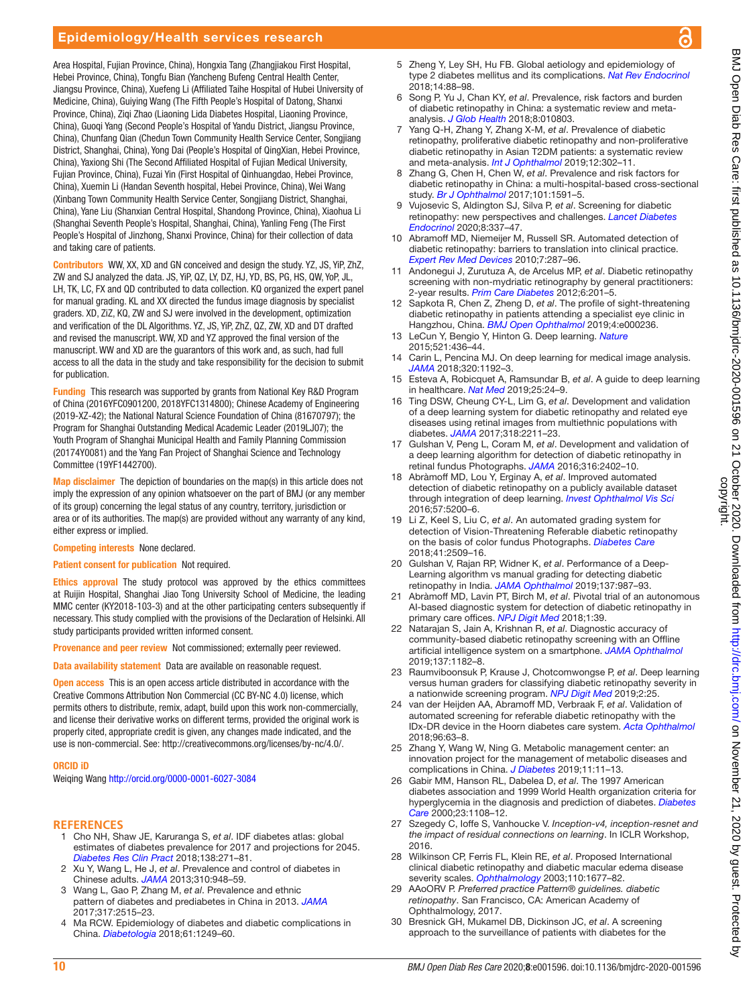#### Epidemiology/Health services research

Area Hospital, Fujian Province, China), Hongxia Tang (Zhangjiakou First Hospital, Hebei Province, China), Tongfu Bian (Yancheng Bufeng Central Health Center, Jiangsu Province, China), Xuefeng Li (Affiliated Taihe Hospital of Hubei University of Medicine, China), Guiying Wang (The Fifth People's Hospital of Datong, Shanxi Province, China), Ziqi Zhao (Liaoning Lida Diabetes Hospital, Liaoning Province, China), Guoqi Yang (Second People's Hospital of Yandu District, Jiangsu Province, China), Chunfang Qian (Chedun Town Community Health Service Center, Songjiang District, Shanghai, China), Yong Dai (People's Hospital of QingXian, Hebei Province, China), Yaxiong Shi (The Second Affiliated Hospital of Fujian Medical University, Fujian Province, China), Fuzai Yin (First Hospital of Qinhuangdao, Hebei Province, China), Xuemin Li (Handan Seventh hospital, Hebei Province, China), Wei Wang (Xinbang Town Community Health Service Center, Songjiang District, Shanghai, China), Yane Liu (Shanxian Central Hospital, Shandong Province, China), Xiaohua Li (Shanghai Seventh People's Hospital, Shanghai, China), Yanling Feng (The First People's Hospital of Jinzhong, Shanxi Province, China) for their collection of data and taking care of patients.

Contributors WW, XX, XD and GN conceived and design the study. YZ, JS, YiP, ZhZ, ZW and SJ analyzed the data. JS, YiP, QZ, LY, DZ, HJ, YD, BS, PG, HS, QW, YoP, JL, LH, TK, LC, FX and QD contributed to data collection. KQ organized the expert panel for manual grading. KL and XX directed the fundus image diagnosis by specialist graders. XD, ZiZ, KQ, ZW and SJ were involved in the development, optimization and verification of the DL Algorithms. YZ, JS, YiP, ZhZ, QZ, ZW, XD and DT drafted and revised the manuscript. WW, XD and YZ approved the final version of the manuscript. WW and XD are the guarantors of this work and, as such, had full access to all the data in the study and take responsibility for the decision to submit for publication.

Funding This research was supported by grants from National Key R&D Program of China (2016YFC0901200, 2018YFC1314800); Chinese Academy of Engineering (2019-XZ-42); the National Natural Science Foundation of China (81670797); the Program for Shanghai Outstanding Medical Academic Leader (2019LJ07); the Youth Program of Shanghai Municipal Health and Family Planning Commission (20174Y0081) and the Yang Fan Project of Shanghai Science and Technology Committee (19YF1442700).

Map disclaimer The depiction of boundaries on the map(s) in this article does not imply the expression of any opinion whatsoever on the part of BMJ (or any member of its group) concerning the legal status of any country, territory, jurisdiction or area or of its authorities. The map(s) are provided without any warranty of any kind, either express or implied.

Competing interests None declared.

#### Patient consent for publication Not required.

Ethics approval The study protocol was approved by the ethics committees at Ruijin Hospital, Shanghai Jiao Tong University School of Medicine, the leading MMC center (KY2018-103-3) and at the other participating centers subsequently if necessary. This study complied with the provisions of the Declaration of Helsinki. All study participants provided written informed consent.

Provenance and peer review Not commissioned; externally peer reviewed.

Data availability statement Data are available on reasonable request.

Open access This is an open access article distributed in accordance with the Creative Commons Attribution Non Commercial (CC BY-NC 4.0) license, which permits others to distribute, remix, adapt, build upon this work non-commercially, and license their derivative works on different terms, provided the original work is properly cited, appropriate credit is given, any changes made indicated, and the use is non-commercial. See:<http://creativecommons.org/licenses/by-nc/4.0/>.

#### ORCID iD

Weiqing Wang <http://orcid.org/0000-0001-6027-3084>

#### **REFERENCES**

- <span id="page-9-0"></span>1 Cho NH, Shaw JE, Karuranga S, *et al*. IDF diabetes atlas: global estimates of diabetes prevalence for 2017 and projections for 2045. *[Diabetes Res Clin Pract](http://dx.doi.org/10.1016/j.diabres.2018.02.023)* 2018;138:271–81.
- <span id="page-9-1"></span>2 Xu Y, Wang L, He J, *et al*. Prevalence and control of diabetes in Chinese adults. *[JAMA](http://dx.doi.org/10.1001/jama.2013.168118)* 2013;310:948–59.
- <span id="page-9-2"></span>3 Wang L, Gao P, Zhang M, *et al*. Prevalence and ethnic pattern of diabetes and prediabetes in China in 2013. *[JAMA](http://dx.doi.org/10.1001/jama.2017.7596)* 2017;317:2515–23.
- <span id="page-9-3"></span>Ma RCW. Epidemiology of diabetes and diabetic complications in China. *[Diabetologia](http://dx.doi.org/10.1007/s00125-018-4557-7)* 2018;61:1249–60.
- 5 Zheng Y, Ley SH, Hu FB. Global aetiology and epidemiology of type 2 diabetes mellitus and its complications. *[Nat Rev Endocrinol](http://dx.doi.org/10.1038/nrendo.2017.151)* 2018;14:88–98.
- <span id="page-9-4"></span>6 Song P, Yu J, Chan KY, *et al*. Prevalence, risk factors and burden of diabetic retinopathy in China: a systematic review and metaanalysis. *[J Glob Health](http://dx.doi.org/10.7189/jogh.08.010803)* 2018;8:010803.
- 7 Yang Q-H, Zhang Y, Zhang X-M, *et al*. Prevalence of diabetic retinopathy, proliferative diabetic retinopathy and non-proliferative diabetic retinopathy in Asian T2DM patients: a systematic review and meta-analysis. *[Int J Ophthalmol](http://dx.doi.org/10.18240/ijo.2019.02.19)* 2019;12:302–11.
- 8 Zhang G, Chen H, Chen W, *et al*. Prevalence and risk factors for diabetic retinopathy in China: a multi-hospital-based cross-sectional study. *[Br J Ophthalmol](http://dx.doi.org/10.1136/bjophthalmol-2017-310316)* 2017;101:1591–5.
- <span id="page-9-5"></span>9 Vujosevic S, Aldington SJ, Silva P, *et al*. Screening for diabetic retinopathy: new perspectives and challenges. *[Lancet Diabetes](http://dx.doi.org/10.1016/S2213-8587(19)30411-5)  [Endocrinol](http://dx.doi.org/10.1016/S2213-8587(19)30411-5)* 2020;8:337–47.
- <span id="page-9-6"></span>10 Abramoff MD, Niemeijer M, Russell SR. Automated detection of diabetic retinopathy: barriers to translation into clinical practice. *[Expert Rev Med Devices](http://dx.doi.org/10.1586/erd.09.76)* 2010;7:287–96.
- 11 Andonegui J, Zurutuza A, de Arcelus MP, *et al*. Diabetic retinopathy screening with non-mydriatic retinography by general practitioners: 2-year results. *[Prim Care Diabetes](http://dx.doi.org/10.1016/j.pcd.2012.01.001)* 2012;6:201–5.
- 12 Sapkota R, Chen Z, Zheng D, *et al*. The profile of sight-threatening diabetic retinopathy in patients attending a specialist eye clinic in Hangzhou, China. *[BMJ Open Ophthalmol](http://dx.doi.org/10.1136/bmjophth-2018-000236)* 2019;4:e000236.
- <span id="page-9-7"></span>13 LeCun Y, Bengio Y, Hinton G. Deep learning. *[Nature](http://dx.doi.org/10.1038/nature14539)* 2015;521:436–44.
- 14 Carin L, Pencina MJ. On deep learning for medical image analysis. *[JAMA](http://dx.doi.org/10.1001/jama.2018.13316)* 2018;320:1192–3.
- 15 Esteva A, Robicquet A, Ramsundar B, *et al*. A guide to deep learning in healthcare. *[Nat Med](http://dx.doi.org/10.1038/s41591-018-0316-z)* 2019;25:24–9.
- <span id="page-9-8"></span>16 Ting DSW, Cheung CY-L, Lim G, *et al*. Development and validation of a deep learning system for diabetic retinopathy and related eye diseases using retinal images from multiethnic populations with diabetes. *[JAMA](http://dx.doi.org/10.1001/jama.2017.18152)* 2017;318:2211–23.
- <span id="page-9-9"></span>17 Gulshan V, Peng L, Coram M, *et al*. Development and validation of a deep learning algorithm for detection of diabetic retinopathy in retinal fundus Photographs. *[JAMA](http://dx.doi.org/10.1001/jama.2016.17216)* 2016;316:2402–10.
- 18 Abràmoff MD, Lou Y, Erginay A, *et al*. Improved automated detection of diabetic retinopathy on a publicly available dataset through integration of deep learning. *[Invest Ophthalmol Vis Sci](http://dx.doi.org/10.1167/iovs.16-19964)* 2016;57:5200–6.
- <span id="page-9-17"></span>19 Li Z, Keel S, Liu C, *et al*. An automated grading system for detection of Vision-Threatening Referable diabetic retinopathy on the basis of color fundus Photographs. *[Diabetes Care](http://dx.doi.org/10.2337/dc18-0147)* 2018;41:2509–16.
- <span id="page-9-10"></span>20 Gulshan V, Rajan RP, Widner K, *et al*. Performance of a Deep-Learning algorithm vs manual grading for detecting diabetic retinopathy in India. *[JAMA Ophthalmol](http://dx.doi.org/10.1001/jamaophthalmol.2019.2004)* 2019;137:987–93.
- 21 Abràmoff MD, Lavin PT, Birch M, *et al*. Pivotal trial of an autonomous AI-based diagnostic system for detection of diabetic retinopathy in primary care offices. *[NPJ Digit Med](http://dx.doi.org/10.1038/s41746-018-0040-6)* 2018;1:39.
- 22 Natarajan S, Jain A, Krishnan R, *et al*. Diagnostic accuracy of community-based diabetic retinopathy screening with an Offline artificial intelligence system on a smartphone. *[JAMA Ophthalmol](http://dx.doi.org/10.1001/jamaophthalmol.2019.2923)* 2019;137:1182–8.
- <span id="page-9-18"></span>23 Raumviboonsuk P, Krause J, Chotcomwongse P, *et al*. Deep learning versus human graders for classifying diabetic retinopathy severity in a nationwide screening program. *[NPJ Digit Med](http://dx.doi.org/10.1038/s41746-019-0099-8)* 2019;2:25.
- <span id="page-9-19"></span>24 van der Heijden AA, Abramoff MD, Verbraak F, *et al*. Validation of automated screening for referable diabetic retinopathy with the IDx-DR device in the Hoorn diabetes care system. *[Acta Ophthalmol](http://dx.doi.org/10.1111/aos.13613)* 2018;96:63–8.
- <span id="page-9-11"></span>25 Zhang Y, Wang W, Ning G. Metabolic management center: an innovation project for the management of metabolic diseases and complications in China. *[J Diabetes](http://dx.doi.org/10.1111/1753-0407.12847)* 2019;11:11–13.
- <span id="page-9-12"></span>26 Gabir MM, Hanson RL, Dabelea D, *et al*. The 1997 American diabetes association and 1999 World Health organization criteria for hyperglycemia in the diagnosis and prediction of diabetes. *[Diabetes](http://dx.doi.org/10.2337/diacare.23.8.1108)  [Care](http://dx.doi.org/10.2337/diacare.23.8.1108)* 2000;23:1108–12.
- <span id="page-9-13"></span>27 Szegedy C, Ioffe S, Vanhoucke V. *Inception-v4, inception-resnet and the impact of residual connections on learning*. In ICLR Workshop, 2016.
- <span id="page-9-14"></span>28 Wilkinson CP, Ferris FL, Klein RE, *et al*. Proposed International clinical diabetic retinopathy and diabetic macular edema disease severity scales. *[Ophthalmology](http://dx.doi.org/10.1016/S0161-6420(03)00475-5)* 2003;110:1677–82.
- <span id="page-9-15"></span>29 AAoORV P. *Preferred practice Pattern® guidelines. diabetic retinopathy*. San Francisco, CA: American Academy of Ophthalmology, 2017.
- <span id="page-9-16"></span>30 Bresnick GH, Mukamel DB, Dickinson JC, *et al*. A screening approach to the surveillance of patients with diabetes for the